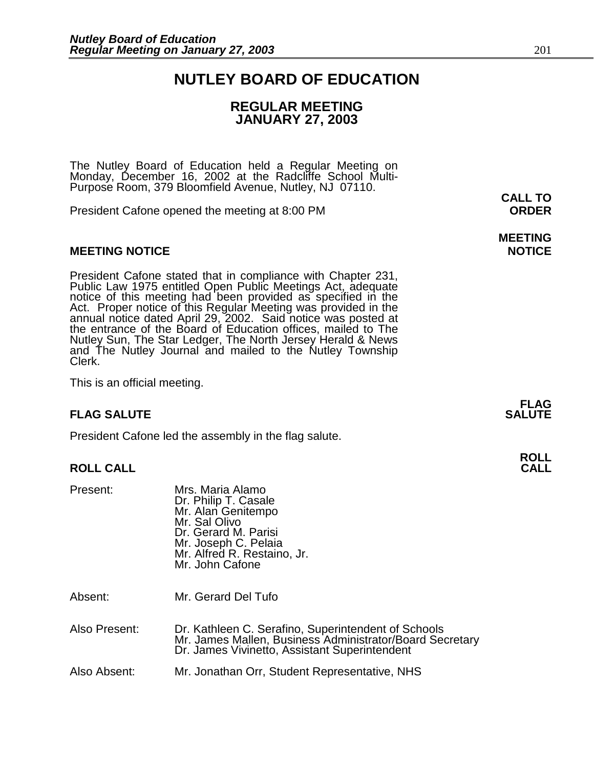### **NUTLEY BOARD OF EDUCATION**

### **REGULAR MEETING JANUARY 27, 2003**

The Nutley Board of Education held a Regular Meeting on Monday, December 16, 2002 at the Radcliffe School Multi-Purpose Room, 379 Bloomfield Avenue, Nutley, NJ 07110.

President Cafone opened the meeting at 8:00 PM **ORDER**

#### **MEETING NOTICE NOTICE REPORTS AND ALCOHOL**

President Cafone stated that in compliance with Chapter 231, Public Law 1975 entitled Open Public Meetings Act, adequate notice of this meeting had been provided as specified in the Act. Proper notice of this Regular Meeting was provided in the annual notice dated April 29, 2002. Said notice was posted at the entrance of the Board of Education offices, mailed to The Nutley Sun, The Star Ledger, The North Jersey Herald & News and The Nutley Journal and mailed to the Nutley Township Clerk.

This is an official meeting.

#### **FLAG SALUTE** SALUTE SALUTE SALUTE SALUTE SALUTE

President Cafone led the assembly in the flag salute.

#### **ROLL CALL CALL**

| Present: | Mrs. Maria Alamo<br>Dr. Philip T. Casale<br>Mr. Alan Genitempo<br>Mr. Sal Olivo<br>Dr. Gerard M. Parisi<br>Mr. Joseph C. Pelaia<br>Mr. Alfred R. Restaino, Jr.<br>Mr. John Cafone |
|----------|-----------------------------------------------------------------------------------------------------------------------------------------------------------------------------------|
|          |                                                                                                                                                                                   |

Absent: Mr. Gerard Del Tufo

Also Present: Dr. Kathleen C. Serafino, Superintendent of Schools Mr. James Mallen, Business Administrator/Board Secretary Dr. James Vivinetto, Assistant Superintendent

Also Absent: Mr. Jonathan Orr, Student Representative, NHS

# **MEETING**

**FLAG** 

# **ROLL**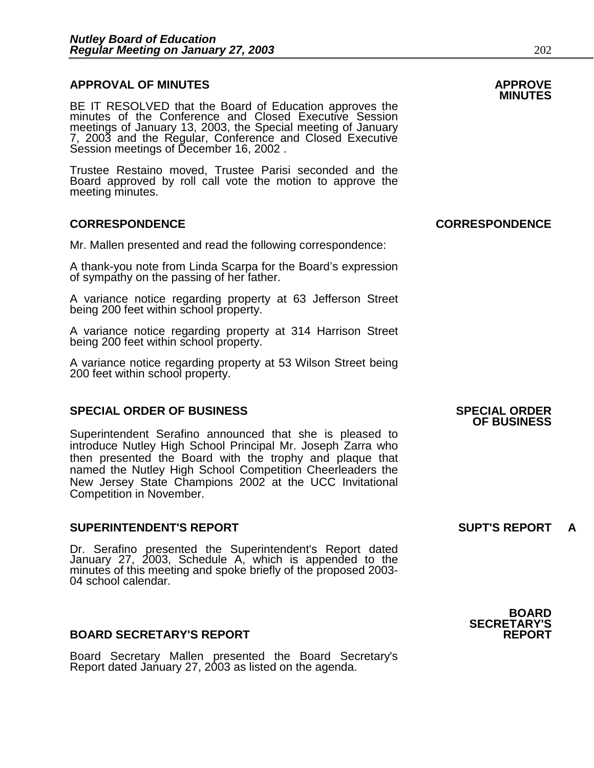## **APPROVAL OF MINUTES APPROVE**

BE IT RESOLVED that the Board of Education approves the minutes of the Conference and Closed Executive Session meetings of January 13, 2003, the Special meeting of January 7, 2003 and the Regular, Conference and Closed Executive Session meetings of December 16, 2002 .

Trustee Restaino moved, Trustee Parisi seconded and the Board approved by roll call vote the motion to approve the meeting minutes.

#### **CORRESPONDENCE CORRESPONDENCE**

Mr. Mallen presented and read the following correspondence:

A thank-you note from Linda Scarpa for the Board's expression of sympathy on the passing of her father.

A variance notice regarding property at 63 Jefferson Street being 200 feet within school property.

A variance notice regarding property at 314 Harrison Street being 200 feet within school property.

A variance notice regarding property at 53 Wilson Street being 200 feet within school property.

#### **SPECIAL ORDER OF BUSINESS SPECIAL ORDER**

Superintendent Serafino announced that she is pleased to introduce Nutley High School Principal Mr. Joseph Zarra who then presented the Board with the trophy and plaque that named the Nutley High School Competition Cheerleaders the New Jersey State Champions 2002 at the UCC Invitational Competition in November.

#### **SUPERINTENDENT'S REPORT SUPT'S REPORT A**

Dr. Serafino presented the Superintendent's Report dated January 27, 2003, Schedule A, which is appended to the minutes of this meeting and spoke briefly of the proposed 2003- 04 school calendar.

#### **BOARD SECRETARY'S REPORT**

Board Secretary Mallen presented the Board Secretary's Report dated January 27, 2003 as listed on the agenda.

**OF BUSINESS** 

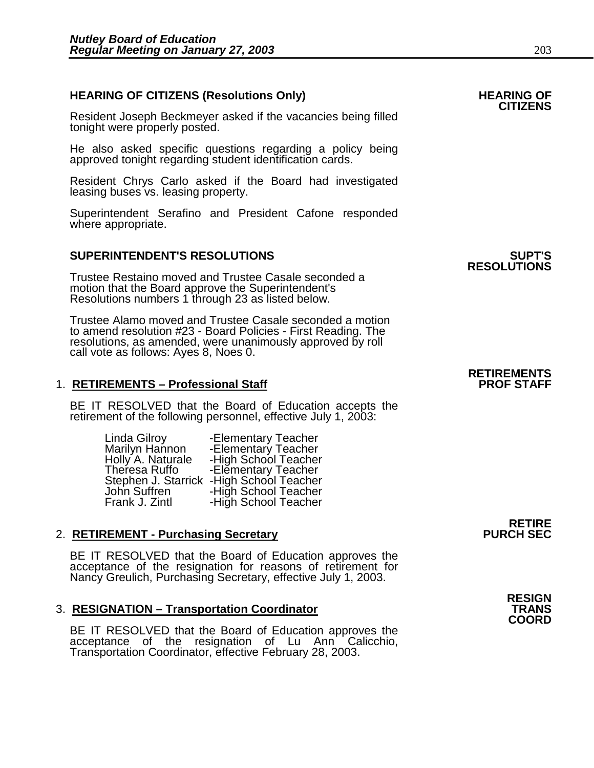## **HEARING OF CITIZENS (Resolutions Only) HEARING OF CITIZENS**

Resident Joseph Beckmeyer asked if the vacancies being filled tonight were properly posted.

He also asked specific questions regarding a policy being approved tonight regarding student identification cards.

Resident Chrys Carlo asked if the Board had investigated leasing buses vs. leasing property.

Superintendent Serafino and President Cafone responded where appropriate.

#### **SUPERINTENDENT'S RESOLUTIONS SUPT'S**

Trustee Restaino moved and Trustee Casale seconded a motion that the Board approve the Superintendent's Resolutions numbers 1 through 23 as listed below.

Trustee Alamo moved and Trustee Casale seconded a motion to amend resolution #23 - Board Policies - First Reading. The resolutions, as amended, were unanimously approved by roll call vote as follows: Ayes 8, Noes 0.

#### 1. **RETIREMENTS - Professional Staff**

BE IT RESOLVED that the Board of Education accepts the retirement of the following personnel, effective July 1, 2003:

> Linda Gilroy <sup>---</sup>-Elementary Teacher<br>Marilyn Hannon -------Elementary Teacher Holly<sup>'</sup>A. Naturale -High School Teacher Theresa Ruffo -Elementary Teacher Stephen J. Starrick -High School Teacher John Suffren -High School Teacher Frank J. Zintl -High School Teacher

#### 2. **RETIREMENT - Purchasing Secretary**

BE IT RESOLVED that the Board of Education approves the acceptance of the resignation for reasons of retirement for Nancy Greulich, Purchasing Secretary, effective July 1, 2003.

#### **3. RESIGNATION – Transportation Coordinator**

BE IT RESOLVED that the Board of Education approves the acceptance of the resignation of Lu Ann<sup>1</sup> Calicchio, Transportation Coordinator, effective February 28, 2003.

**RESOLUTIONS** 

# **RETIREMENTS**

**RETIRE**<br>PURCH SEC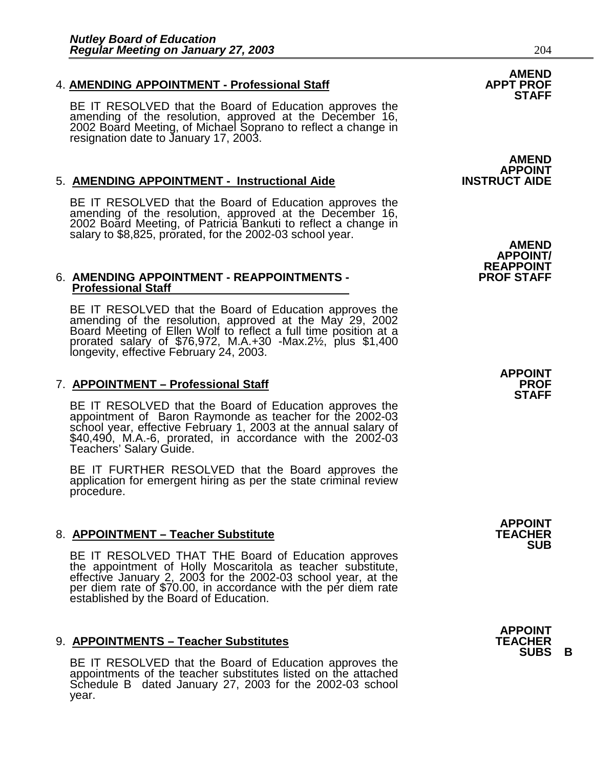## 4. **AMENDING APPOINTMENT - Professional Staff APPT PROF STAFF**

BE IT RESOLVED that the Board of Education approves the amending of the resolution, approved at the December 16, 2002 Board Meeting, of Michael Soprano to reflect a change in resignation date to January 17, 2003.

#### **5. AMENDING APPOINTMENT - Instructional Aide**

BE IT RESOLVED that the Board of Education approves the amending of the resolution, approved at the December 16, 2002 Board Meeting, of Patricia Bankuti to reflect a change in salary to \$8,825, prorated, for the 2002-03 school year. **AMEND**<br>AMEND APPOINT/<br>AMENDING APPOINTMENT - REAPPOINTMENTS - **AMENDING APPOINTMENT - REAPPOINTMENTS** 

#### 6. AMENDING APPOINTMENT - REAPPOINTMENTS - **Professional Staff**

BE IT RESOLVED that the Board of Education approves the amending of the resolution, approved at the May 29, 2002 Board Meeting of Ellen Wolf to reflect a full time position at a prorated salary of \$76,972, M.A.+30 -Max.2½, plus \$1,400 longevity, effective February 24, 2003.

### 7. **APPOINTMENT – Professional Staff**

BE IT RESOLVED that the Board of Education approves the appointment of Baron Raymonde as teacher for the 2002-03 school year, effective February 1, 2003 at the annual salary of \$40,490, M.A.-6, prorated, in accordance with the 2002-03 Teachers' Salary Guide.

BE IT FURTHER RESOLVED that the Board approves the application for emergent hiring as per the state criminal review procedure.

#### 8. **APPOINTMENT – Teacher Substitute**

BE IT RESOLVED THAT THE Board of Education approves the appointment of Holly Moscaritola as teacher substitute, effective January 2, 2003 for the 2002-03 school year, at the per diem rate of \$70.00, in accordance with the per diem rate established by the Board of Education.

#### 9. **APPOINTMENTS – Teacher Substitutes**

BE IT RESOLVED that the Board of Education approves the appointments of the teacher substitutes listed on the attached Schedule B dated January 27, 2003 for the 2002-03 school year.

# AMEND<br>APPOINT<br>INSTRUCT AIDE

**APPOINT STAFF** 

**APPOINT SUB** 

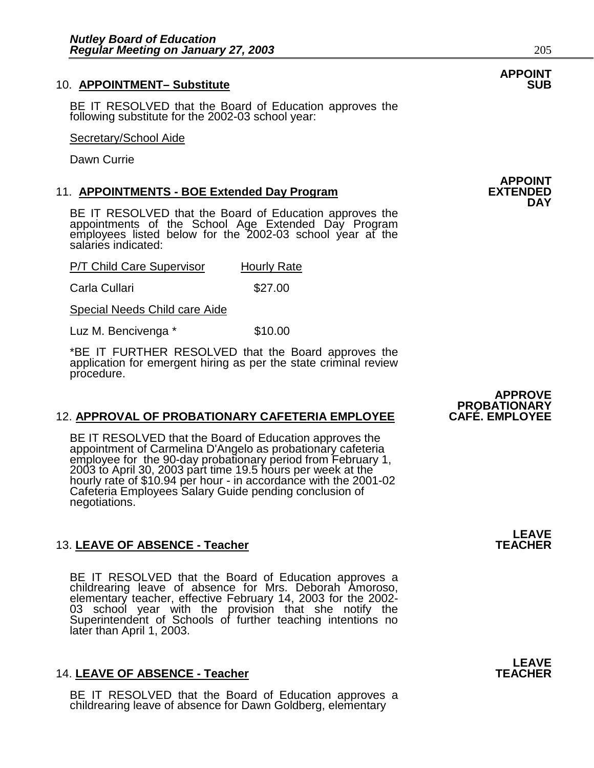#### 10. **APPOINTMENT- Substitute**

BE IT RESOLVED that the Board of Education approves the following substitute for the 2002-03 school year:

#### Secretary/School Aide

Dawn Currie

#### 11. **APPOINTMENTS - BOE Extended Day Program**

BE IT RESOLVED that the Board of Education approves the appointments of the School Age Extended Day Program employees listed below for the 2002-03 school year at the salaries indicated:

| P/T Child Care Supervisor | <b>Hourly Rate</b> |  |
|---------------------------|--------------------|--|
| Carla Cullari             | \$27.00            |  |

Special Needs Child care Aide

Luz M. Bencivenga \* \$10.00

\*BE IT FURTHER RESOLVED that the Board approves the application for emergent hiring as per the state criminal review procedure.

#### 12. APPROVAL OF PROBATIONARY CAFETERIA EMPLOYEE

BE IT RESOLVED that the Board of Education approves the appointment of Carmelina D'Angelo as probationary cafeteria employee for the 90-day probationary period from February 1, 2003 to April 30, 2003 part time 19.5 hours per week at the hourly rate of \$10.94 per hour - in accordance with the 2001-02 Cafeteria Employees Salary Guide pending conclusion of negotiations.

#### 13. LEAVE OF ABSENCE - Teacher

BE IT RESOLVED that the Board of Education approves a childrearing leave of absence for Mrs. Deborah Amoroso, elementary teacher, effective February 14, 2003 for the 2002- 03 school year with the provision that she notify the Superintendent of Schools of further teaching intentions no later than April 1, 2003.

#### 14. LEAVE OF ABSENCE - Teacher

BE IT RESOLVED that the Board of Education approves a childrearing leave of absence for Dawn Goldberg, elementary

# **APPOINT**

### **APPOINT DAY**

### **APPROVE PROBATIONARY**

**LEAVE**<br>TEACHER

**LEAVE**<br>TEACHER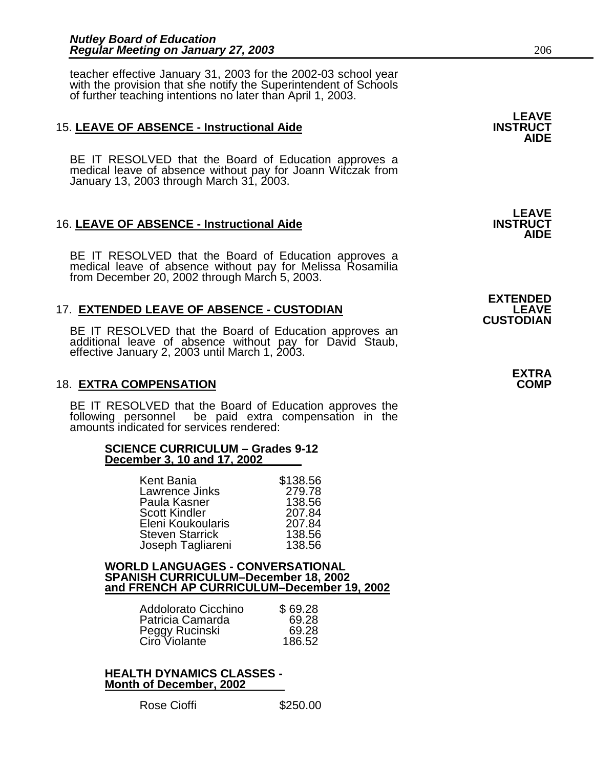teacher effective January 31, 2003 for the 2002-03 school year with the provision that she notify the Superintendent of Schools of further teaching intentions no later than April 1, 2003.

#### 15. LEAVE OF ABSENCE - Instructional Aide

BE IT RESOLVED that the Board of Education approves a medical leave of absence without pay for Joann Witczak from January 13, 2003 through March 31, 2003.

#### **16. LEAVE OF ABSENCE - Instructional Aide**

BE IT RESOLVED that the Board of Education approves a medical leave of absence without pay for Melissa Rosamilia from December 20, 2002 through March 5, 2003.

#### **17. EXTENDED LEAVE OF ABSENCE - CUSTODIAN**

BE IT RESOLVED that the Board of Education approves an additional leave of absence without pay for David Staub, effective January 2, 2003 until March 1, 2003.

#### **18. EXTRA COMPENSATION**

BE IT RESOLVED that the Board of Education approves the following personnel be paid extra compensation in the amounts indicated for services rendered:

#### **SCIENCE CURRICULUM – Grades 9-12 December 3, 10 and 17, 2002**

| Kent Bania             | \$138.56 |
|------------------------|----------|
| Lawrence Jinks         | 279.78   |
| Paula Kasner           | 138.56   |
| <b>Scott Kindler</b>   | 207.84   |
| Eleni Koukoularis      | 207.84   |
| <b>Steven Starrick</b> | 138.56   |
| Joseph Tagliareni      | 138.56   |

#### **WORLD LANGUAGES - CONVERSATIONAL SPANISH CURRICULUM–December 18, 2002 and FRENCH AP CURRICULUM–December 19, 2002**

| \$69.28 |
|---------|
| 69.28   |
| 69.28   |
| 186.52  |
|         |

**HEALTH DYNAMICS CLASSES - Month of December, 2002**

**AIDE** 

**LEAVE**<br>**INSTRUCT AIDE** 

**EXTENDED**<br>LEAVE **CUSTODIAN** 

**EXTRA**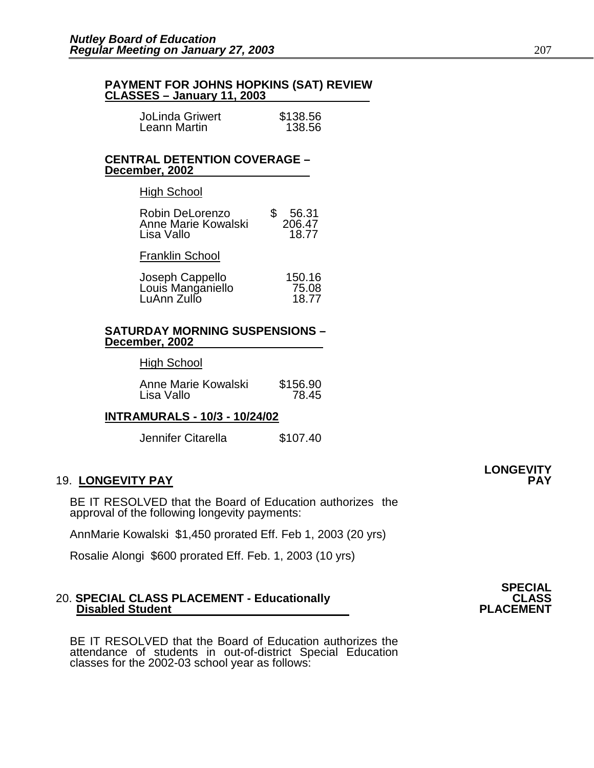# **PAYMENT FOR JOHNS HOPKINS (SAT) REVIEW CLASSES – January 11, 2003**

| <b>JoLinda Griwert</b> | \$138.56 |
|------------------------|----------|
| Leann Martin           | 138.56   |

#### **CENTRAL DETENTION COVERAGE – December, 2002**

#### High School

| Robin DeLorenzo<br>Anne Marie Kowalski<br>Lisa Vallo | 56.31<br>206.47<br>18.77 |
|------------------------------------------------------|--------------------------|
|                                                      |                          |

### Franklin School

| Joseph Cappello   | 150.16 |
|-------------------|--------|
| Louis Manganiello | 75.08  |
| LuAnn Zullo       | 18.77  |

#### **SATURDAY MORNING SUSPENSIONS – December, 2002**

#### High School

| Anne Marie Kowalski | \$156.90 |
|---------------------|----------|
| Lisa Vallo          | 78.45    |

### **INTRAMURALS - 10/3 - 10/24/02**

Jennifer Citarella  $$107.40$ 

#### 19. **LONGEVITY PAY PAY**

BE IT RESOLVED that the Board of Education authorizes the approval of the following longevity payments:

AnnMarie Kowalski \$1,450 prorated Eff. Feb 1, 2003 (20 yrs)

Rosalie Alongi \$600 prorated Eff. Feb. 1, 2003 (10 yrs)

#### 20. **SPECIAL CLASS PLACEMENT - Educationally CLASS CLASS CLASS CLASS Disabled Student Disabled Student**

BE IT RESOLVED that the Board of Education authorizes the attendance of students in out-of-district Special Education classes for the 2002-03 school year as follows:

**LONGEVITY** 

# **SPECIAL**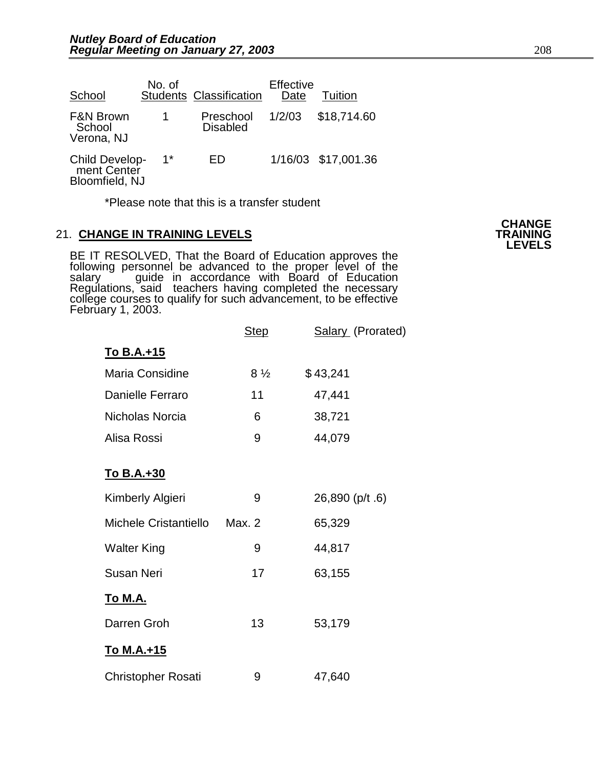| School                                                 | No. of | <b>Students Classification</b> | Effective<br>Date | Tuition             |
|--------------------------------------------------------|--------|--------------------------------|-------------------|---------------------|
| <b>F&amp;N Brown</b><br>School<br>Verona, NJ           |        | Preschool<br><b>Disabled</b>   | 1/2/03            | \$18,714.60         |
| <b>Child Develop-</b><br>ment Center<br>Bloomfield, NJ | $1*$   | FD                             |                   | 1/16/03 \$17,001.36 |

\*Please note that this is a transfer student

#### **21. CHANGE IN TRAINING LEVELS**

BE IT RESOLVED, That the Board of Education approves the following personnel be advanced to the proper level of the salary  $\degree$  guide in accordance with Board of Education Regulations, said teachers having completed the necessary college courses to qualify for such advancement, to be effective Febrŭary 1, 2003.

|                              | <b>Step</b>    | Salary (Prorated) |
|------------------------------|----------------|-------------------|
| <u>To B.A.+15</u>            |                |                   |
| Maria Considine              | $8\frac{1}{2}$ | \$43,241          |
| Danielle Ferraro             | 11             | 47,441            |
| Nicholas Norcia              | 6              | 38,721            |
| Alisa Rossi                  | 9              | 44,079            |
| <u>To B.A.+30</u>            |                |                   |
| Kimberly Algieri             | 9              | 26,890 (p/t .6)   |
| <b>Michele Cristantiello</b> | Max. 2         | 65,329            |
| <b>Walter King</b>           | 9              | 44,817            |
| <b>Susan Neri</b>            | 17             | 63,155            |
| <u>To M.A.</u>               |                |                   |
| Darren Groh                  | 13             | 53,179            |
| <u>To M.A.+15</u>            |                |                   |
| <b>Christopher Rosati</b>    | 9              | 47,640            |

**CHANGE LEVELS**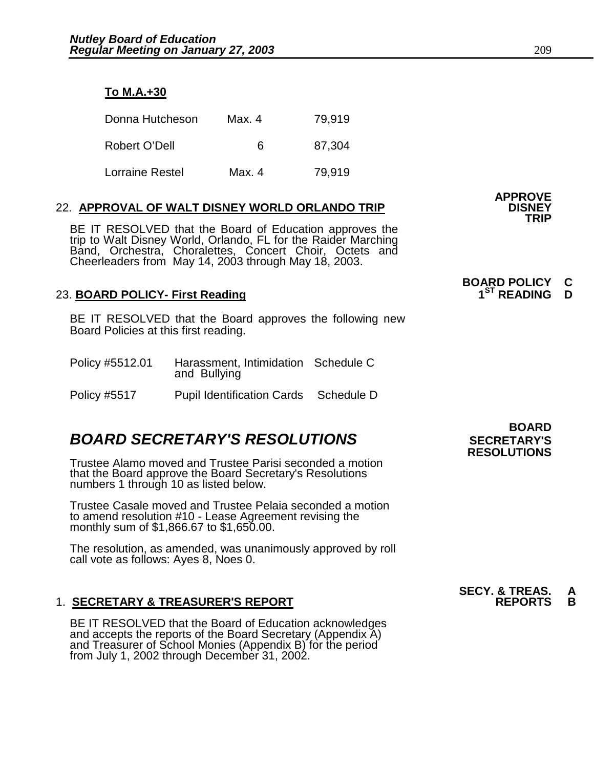| o M.A.+30 |  |
|-----------|--|
|           |  |

| Donna Hutcheson | Max. 4 | 79,919 |
|-----------------|--------|--------|
| Robert O'Dell   | 6      | 87,304 |
| Lorraine Restel | Max. 4 | 79.919 |

### 22. APPROVAL OF WALT DISNEY WORLD ORLANDO TRIP

BE IT RESOLVED that the Board of Education approves the trip to Walt Disney World, Orlando, FL for the Raider Marching Band, Orchestra, Choralettes, Concert Choir, Octets and Cheerleaders from May 14, 2003 through May 18, 2003.

#### 23. **BOARD POLICY- First Reading**

BE IT RESOLVED that the Board approves the following new Board Policies at this first reading.

| Policy #5512.01     | Harassment, Intimidation Schedule C<br>and Bullying |            |
|---------------------|-----------------------------------------------------|------------|
| <b>Policy #5517</b> | <b>Pupil Identification Cards</b>                   | Schedule D |

### **BOARD SECRETARY'S RESOLUTIONS** SECRETARY'S

Trustee Alamo moved and Trustee Parisi seconded a motion that the Board approve the Board Secretary's Resolutions numbers 1 through 10 as listed below.

Trustee Casale moved and Trustee Pelaia seconded a motion to amend resolution #10 - Lease Agreement revising the monthly sum of \$1,866.67 to \$1,650.00.

The resolution, as amended, was unanimously approved by roll call vote as follows: Ayes 8, Noes 0.

### 1. **SECRETARY & TREASURER'S REPORT**

 BE IT RESOLVED that the Board of Education acknowledges and accepts the reports of the Board Secretary (Appendix A) and Treasurer of School Monies (Appendix B) for the period from July 1, 2002 through December 31, 2002.

 **BOARD RESOLUTIONS** 

**SECY. & TREAS. A** 

**BOARD POLICY C** 

**APPROVE** 

**TRIP**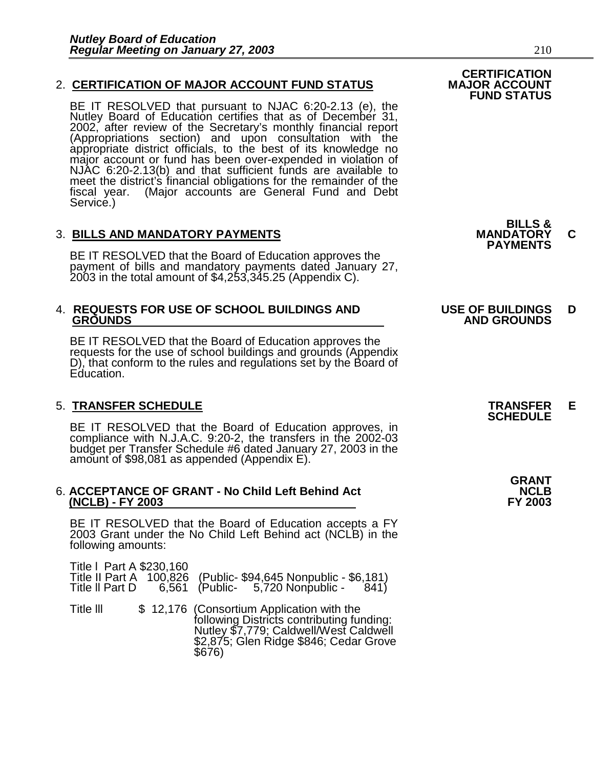#### 2. **CERTIFICATION OF MAJOR ACCOUNT FUND STATUS**

BE IT RESOLVED that pursuant to NJAC 6:20-2.13 (e), the Nutley Board of Education certifies that as of December 31, 2002, after review of the Secretary's monthly financial report (Appropriations section) and upon consultation with the appropriate district officials, to the best of its knowledge no major account or fund has been over-expended in violation of NJAC 6:20-2.13(b) and that sufficient funds are available to meet the district's financial obligations for the remainder of the fiscal year. (Major accounts are General Fund and Debt (Major accounts are General Fund and Debt Service.)

## 3. **BILLS AND MANDATORY PAYMENTS MANDATORY C PAYMENTS**

BE IT RESOLVED that the Board of Education approves the payment of bills and mandatory payments dated January 27, 2003 in the total amount of \$4,253,345.25 (Appendix C).

# 4. **REQUESTS FOR USE OF SCHOOL BUILDINGS AND USE OF BUILDINGS D**

BE IT RESOLVED that the Board of Education approves the requests for the use of school buildings and grounds (Appendix D), that conform to the rules and regulations set by the Board of Education.

## 5. **TRANSFER SCHEDULE TRANSFER E SCHEDULE**

BE IT RESOLVED that the Board of Education approves, in compliance with N.J.A.C. 9:20-2, the transfers in the 2002-03 budget per Transfer Schedule #6 dated January 27, 2003 in the amount of \$98,081 as appended (Appendix E).

#### 6. ACCEPTANCE OF GRANT - No Child Left Behind Act  **(NCLB) - FY 2003 FY 2003**

BE IT RESOLVED that the Board of Education accepts a FY 2003 Grant under the No Child Left Behind act (NCLB) in the following amounts:

| Title   Part A \$230,160 |  | Title II Part A 100,826 (Public- \$94,645 Nonpublic - \$6,181)<br>Title II Part D 6,561 (Public- 5,720 Nonpublic - 841)                                                              |
|--------------------------|--|--------------------------------------------------------------------------------------------------------------------------------------------------------------------------------------|
| Title III                |  | \$12,176 (Consortium Application with the<br>following Districts contributing funding:<br>Nutley \$7,779; Caldwell/West Caldwell<br>\$2,875; Glen Ridge \$846; Cedar Grove<br>\$676) |

**BILLS &** 

 **CERTIFICATION** 

**FUND STATUS** 

# **GROUNDS AND GROUNDS**

| <b>GRANT</b>   |
|----------------|
| NCLB           |
| <b>FY 2003</b> |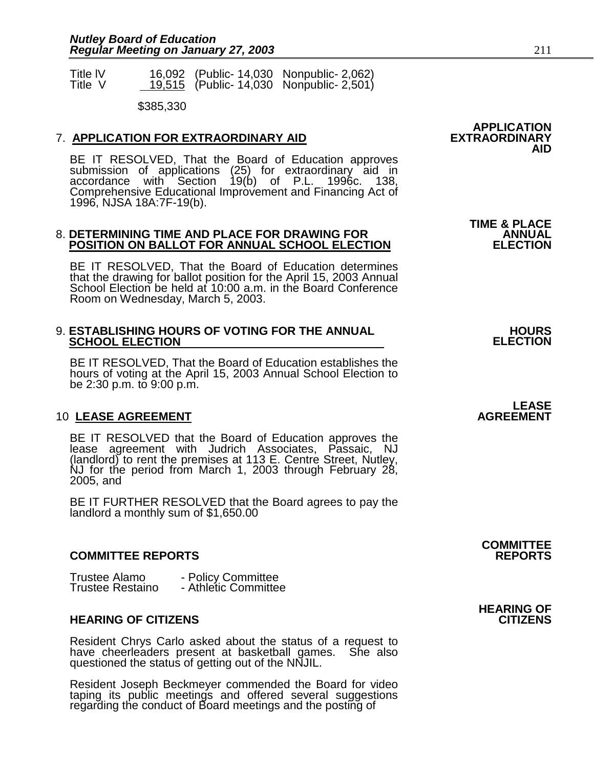| <b>Title IV</b> |  | 16,092 (Public- 14,030 Nonpublic- 2,062) |
|-----------------|--|------------------------------------------|
| Title V         |  | 19,515 (Public- 14,030 Nonpublic- 2,501) |

\$385,330

#### **7. APPLICATION FOR EXTRAORDINARY AID**

BE IT RESOLVED, That the Board of Education approves submission of applications (25) for extraordinary aid in accordance with Section 19(b) of P.L. 1996c. 138, Comprehensive Educational Improvement and Financing Act of 1996, NJSA 18A:7F-19(b).

#### 8. **DETERMINING TIME AND PLACE FOR DRAWING FOR ANNUAL POSITION ON BALLOT FOR ANNUAL SCHOOL ELECTION ELECTION**

BE IT RESOLVED, That the Board of Education determines that the drawing for ballot position for the April 15, 2003 Annual School Election be held at 10:00 a.m. in the Board Conference Room on Wednesday, March 5, 2003.

#### 9. **ESTABLISHING HOURS OF VOTING FOR THE ANNUAL HOURS ARE ANNUAL** FOR THE ANNUAL FIGURS **SCHOOL ELECTION**

BE IT RESOLVED, That the Board of Education establishes the hours of voting at the April 15, 2003 Annual School Election to be 2:30 p.m. to 9:00 p.m.

#### **10 LEASE AGREEMENT**

BE IT RESOLVED that the Board of Education approves the lease agreement with Judrich Associates, Passaic, NJ (landlord) to rent the premises at 113 E. Centre Street, Nutley, NJ for the period from March 1, 2003 through February 28, 2005, and

BE IT FURTHER RESOLVED that the Board agrees to pay the landlord a monthly sum of \$1,650.00

#### **COMMITTEE REPORTS REPORTS**

| Trustee Alamo           | - Policy Committee   |
|-------------------------|----------------------|
| <b>Trustee Restaino</b> | - Athletic Committee |

#### **HEARING OF CITIZENS CITIZENS**

Resident Chrys Carlo asked about the status of a request to have cheerleaders present at basketball games. She also questioned the status of getting out of the NNJIL.

Resident Joseph Beckmeyer commended the Board for video taping its public meetings and offered several suggestions regarding the conduct of Board meetings and the posting of

**APPLICATION AID** 

**TIME & PLACE** 

**LEASE**<br>AGREEMENT

**COMMITTEE** 

**HEARING OF**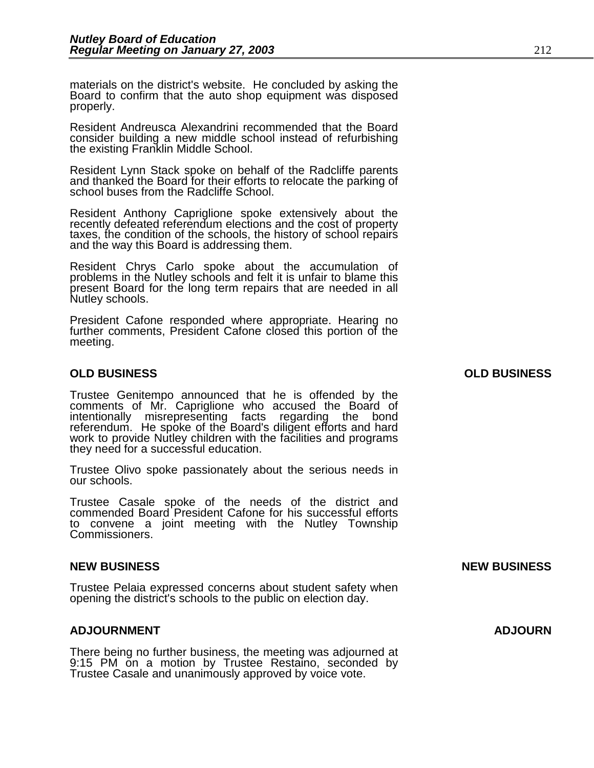materials on the district's website. He concluded by asking the Board to confirm that the auto shop equipment was disposed properly.

Resident Andreusca Alexandrini recommended that the Board consider building a new middle school instead of refurbishing the existing Franklin Middle School.

Resident Lynn Stack spoke on behalf of the Radcliffe parents and thanked the Board for their efforts to relocate the parking of school buses from the Radcliffe School.

Resident Anthony Capriglione spoke extensively about the recently defeated referendum elections and the cost of property taxes, the condition of the schools, the history of school repairs and the way this Board is addressing them.

Resident Chrys Carlo spoke about the accumulation of problems in the Nutley schools and felt it is unfair to blame this present Board for the long term repairs that are needed in all Nutley schools.

President Cafone responded where appropriate. Hearing no further comments, President Cafone closed this portion of the meeting.

#### **OLD BUSINESS OLD BUSINESS**

Trustee Genitempo announced that he is offended by the comments of Mr. Capriglione who accused the Board of intentionally misrepresenting facts regarding the bond referendum. He spoke of the Board's diligent efforts and hard work to provide Nutley children with the facilities and programs they need for a successful education.

Trustee Olivo spoke passionately about the serious needs in our schools.

Trustee Casale spoke of the needs of the district and commended Board President Cafone for his successful efforts to convene a joint meeting with the Nutley Township Commissioners.

#### **NEW BUSINESS NEW BUSINESS**

Trustee Pelaia expressed concerns about student safety when opening the district's schools to the public on election day.

#### **ADJOURNMENT ADJOURN**

There being no further business, the meeting was adjourned at 9:15 PM on a motion by Trustee Restaino, seconded by Trustee Casale and unanimously approved by voice vote.